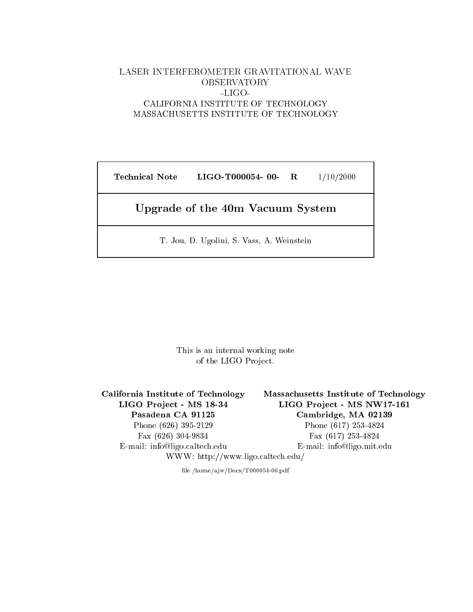# LASER INTERFEROMETER GRAVITATIONAL WAVE OBSERVATORY -LIGO-MASSACHUSETTS INSTITUTE OF TECHNOLOGY

Technical Note LIGO-T000054- 00- R 1/10/2000

# Upgrade of the 40m Vacuum System

T. Jou, D. Ugolini, S. Vass, A. Weinstein

This is an internal working note of the LIGO Project.

California Institute of Technology Massachusetts Institute of Technology LIGO Project - MS 18-34 LIGO Project - MS NW17-161 Pasadena CA 91125 Cambridge, MA 02139 Phone (626) 395-2129 Phone (617) 253-4824 Fax (626) 304-9834 Fax (617) 253-4824 E-mail: info@ligo.caltech.edu E-mail: info@ligo.mit.edu WWW: http://www.ligo.caltech.edu/

file /home/ajw/Docs/T000054-00.pdf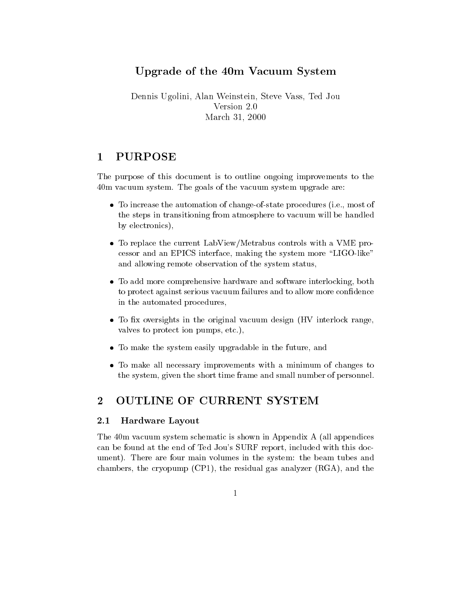# Upgrade of the 40m Vacuum System

Dennis Ugolini, Alan Weinstein, Steve Vass, Ted Jou Version 2.0 March 31, 2000

### **PURPOSE**  $\mathbf 1$

The purpose of this document is to outline ongoing improvements to the 40m vacuum system. The goals of the vacuum system upgrade are:

- To increase the automation of change-of-state processes (i.e.,  $\mathbf{r}$  ,  $\mathbf{r}$  ,  $\mathbf{r}$  ,  $\mathbf{r}$  ,  $\mathbf{r}$  ,  $\mathbf{r}$  ,  $\mathbf{r}$  ,  $\mathbf{r}$  ,  $\mathbf{r}$  ,  $\mathbf{r}$  ,  $\mathbf{r}$  ,  $\mathbf{r}$  ,  $\mathbf{r}$  ,  $\mathbf{r}$  ,  $\mathbf$ the steps in transitioning from atmosphere to vacuum will be handled by electronics),
- To replace the current LabView/Metrabus controls with a VME processor and an EPICS interface, making the system more \LIGO-like" and allowing remote observation of the system status,
- To add more comprehensive hardware and software interlocking, both to protect against serious vacuum failures and to allow more condence in the automated procedures,
- $T_{\rm eff}$  oversign (HV interlock range) in the original vacuum design (HV interlock range,  $T_{\rm eff}$  interlock range,  $T_{\rm eff}$  interlock range,  $T_{\rm eff}$  interlock range,  $T_{\rm eff}$  interlock range,  $T_{\rm eff}$  interlock range, valves to protect ion pumps, etc.),
- To make the system easily upgrade in the future, and future, and future, and future, and future, and future, and future, and future, and future, and future, and future, and future, and future, and future, and future, and
- To make all necessary improvements with a minimum of changes to the system, given the short time frame and small number of personnel.

### $\overline{2}$ **OUTLINE OF CURRENT SYSTEM**

### $2.1$ Hardware Layout

The 40m vacuum system schematic is shown in Appendix A (all appendices can be found at the end of Ted Jou's SURF report, included with this document). There are four main volumes in the system: the beam tubes and chambers, the cryopump (CP1), the residual gas analyzer (RGA), and the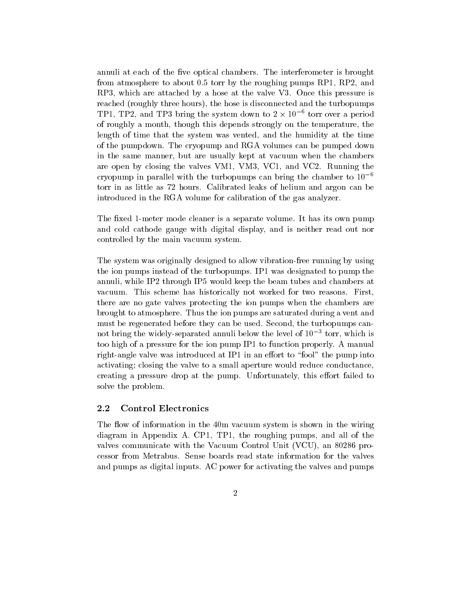annuli at each of the five optical chambers. The interferometer is brought from atmosphere to about 0:5 torr by the roughing pumps RP1, RP2, and RP3, which are attached by a hose at the valve V3. Once this pressure is reached (roughly three hours), the hose is disconnected and the turbopumps TP1, IP2, and IP3 bring the system down to 2  $\times$  10  $^\circ$  torr over a period of roughly a month, though this depends strongly on the temperature, the length of time that the system was vented, and the humidity at the time of the pumpdown. The cryopump and RGA volumes can be pumped down in the same manner, but are usually kept at vacuum when the chambers are open by closing the valves VM1, VM3, VC1, and VC2. Running the cryopump in parallel with the turbopumps can bring the chamber to  $10^{-6}$ torr in as little as 72 hours. Calibrated leaks of helium and argon can be introduced in the RGA volume for calibration of the gas analyzer.

The fixed 1-meter mode cleaner is a separate volume. It has its own pump and cold cathode gauge with digital display, and is neither read out nor controlled by the main vacuum system.

The system was originally designed to allow vibration-free running by using the ion pumps instead of the turbopumps. IP1 was designated to pump the annuli, while IP2 through IP5 would keep the beam tubes and chambers at vacuum. This scheme has historically not worked for two reasons. First, there are no gate valves protecting the ion pumps when the chambers are brought to atmosphere. Thus the ion pumps are saturated during a vent and must be regenerated before they can be used. Second, the turbopumps cannot bring the widely-separated annuli below the level of 103 torr, which is too high of a pressure for the ion pump IP1 to function properly. A manual right-angle valve was introduced at IP1 in an effort to "fool" the pump into activating; closing the valve to a small aperture would reduce conductance, creating a pressure drop at the pump. Unfortunately, this effort failed to solve the problem.

### 2.2 Control Electronics

The flow of information in the 40m vacuum system is shown in the wiring diagram in Appendix A. CP1, TP1, the roughing pumps, and all of the valves communicate with the Vacuum Control Unit (VCU), an 80286 processor from Metrabus. Sense boards read state information for the valves and pumps as digital inputs. AC power for activating the valves and pumps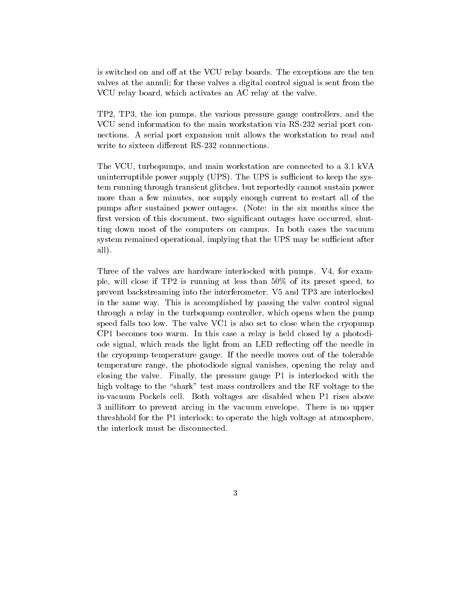is switched on and off at the VCU relay boards. The exceptions are the ten valves at the annuli; for these valves a digital control signal is sent from the VCU relay board, which activates an AC relay at the valve.

TP2, TP3, the ion pumps, the various pressure gauge controllers, and the VCU send information to the main workstation via RS-232 serial port connections. A serial port expansion unit allows the workstation to read and write to sixteen different RS-232 connnections.

The VCU, turbopumps, and main workstation are connected to a 3:1 kVA uninterruptible power supply  $(UPS)$ . The UPS is sufficient to keep the system running through transient glitches, but reportedly cannot sustain power more than a few minutes, nor supply enough current to restart all of the pumps after sustained power outages. (Note: in the six months since the first version of this document, two significant outages have occurred, shutting down most of the computers on campus. In both cases the vacuum system remained operational, implying that the UPS may be sufficient after all).

Three of the valves are hardware interlocked with pumps. V4, for example, will close if TP2 is running at less than 50% of its preset speed, to prevent backstreaming into the interferometer. V5 and TP3 are interlocked in the same way. This is accomplished by passing the valve control signal through a relay in the turbopump controller, which opens when the pump speed falls too low. The valve VC1 is also set to close when the cryopump CP1 becomes too warm. In this case a relay is held closed by a photodiode signal, which reads the light from an LED reflecting off the needle in the cryopump temperature gauge. If the needle moves out of the tolerable temperature range, the photodiode signal vanishes, opening the relay and closing the valve. Finally, the pressure gauge P1 is interlocked with the high voltage to the "shark" test mass controllers and the RF voltage to the in-vacuum Pockels cell. Both voltages are disabled when P1 rises above 3 millitorr to prevent arcing in the vacuum envelope. There is no upper threshhold for the P1 interlock; to operate the high voltage at atmosphere, the interlock must be disconnected.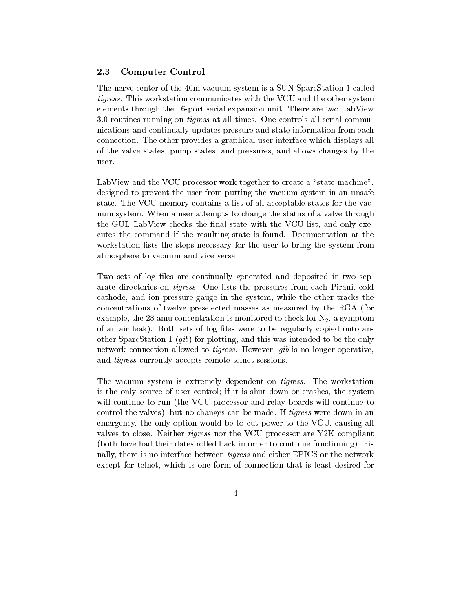#### $2.3$ Computer Control

The nerve center of the 40m vacuum system is a SUN SparcStation 1 called tigress. This workstation communicates with the VCU and the other system elements through the 16-port serial expansion unit. There are two LabView 3:0 routines running on tigress at all times. One controls all serial communications and continually updates pressure and state information from each connection. The other provides a graphical user interface which displays all of the valve states, pump states, and pressures, and allows changes by the user.

LabView and the VCU processor work together to create a "state machine". designed to prevent the user from putting the vacuum system in an unsafe state. The VCU memory contains a list of all acceptable states for the vacuum system. When a user attempts to change the status of a valve through the GUI, LabView checks the final state with the VCU list, and only executes the command if the resulting state is found. Documentation at the workstation lists the steps necessary for the user to bring the system from atmosphere to vacuum and vice versa.

Two sets of log files are continually generated and deposited in two separate directories on tigress. One lists the pressures from each Pirani, cold cathode, and ion pressure gauge in the system, while the other tracks the concentrations of twelve preselected masses as measured by the RGA (for example, the 28 amu concentration is monitored to check for  $N_2$ , a symptom of an air leak). Both sets of log files were to be regularly copied onto another SparcStation 1 (gib) for plotting, and this was intended to be the only network connection allowed to tigress. However, gib is no longer operative, and tigress currently accepts remote telnet sessions.

The vacuum system is extremely dependent on tigress. The workstation is the only source of user control; if it is shut down orcrashes, the system will continue to run (the VCU processor and relay boards will continue to control the valves), but no changes can be made. If tigress were down in an emergency, the only option would be to cut power to the VCU, causing all valves to close. Neither tigress nor the VCU processor are Y2K compliant (both have had their dates rolled back in order to continue functioning). Finally, there is no interface between tigress and either EPICS or the network except for telnet, which is one form of connection that is least desired for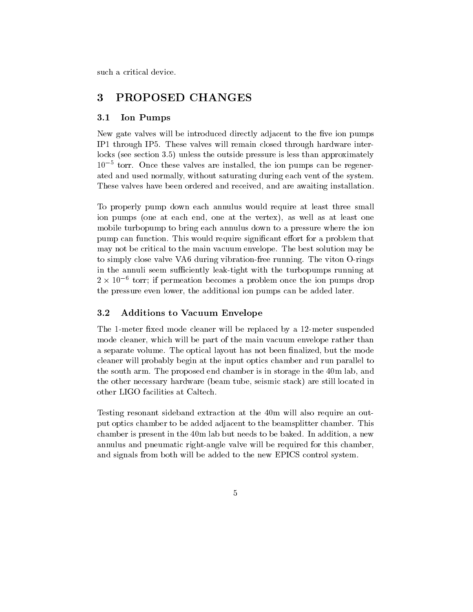such a critical device.

## 3 PROPOSED CHANGES

### 3.1 Ion Pumps

New gate valves will be introduced directly adjacent to the five ion pumps IP1 through IP5. These valves will remain closed through hardware interlocks (see section 3:5) unless the outside pressure is less than approximately 105 torr. Once these valves are installed, the ion pumps can be regenerated and used normally, without saturating during each vent of the system. These valves have been ordered and received, and are awaiting installation.

To properly pump down each annulus would require at least three small ion pumps (one at each end, one at the vertex), as well as at least one mobile turbopump to bring each annulus down to a pressure where the ion pump can function. This would require significant effort for a problem that may not be critical to the main vacuum envelope. The best solution may be to simply close valve VA6 during vibration-free running. The viton O-rings in the annuli seem sufficiently leak-tight with the turbopumps running at  $2 \times 10^{-8}$  torr; if permeation becomes a problem once the ion pumps drop the pressure even lower, the additional ion pumps can be added later.

#### $3.2$ Additions to Vacuum Envelope

The 1-meter fixed mode cleaner will be replaced by a 12-meter suspended mode cleaner, which will be part of the main vacuum envelope rather than a separate volume. The optical layout has not been nalized, but the mode cleaner will probably begin at the input optics chamber and run parallel to the south arm. The proposed end chamber is in storage in the 40m lab, and the other necessary hardware (beam tube, seismic stack) are still located in other LIGO facilities at Caltech.

Testing resonant sideband extraction at the 40m will also require an output optics chamber to be added adjacent to the beamsplitter chamber. This chamber is present in the 40m lab but needs to be baked. In addition, a new annulus and pneumatic right-angle valve will be required for this chamber, and signals from both will be added to the new EPICS control system.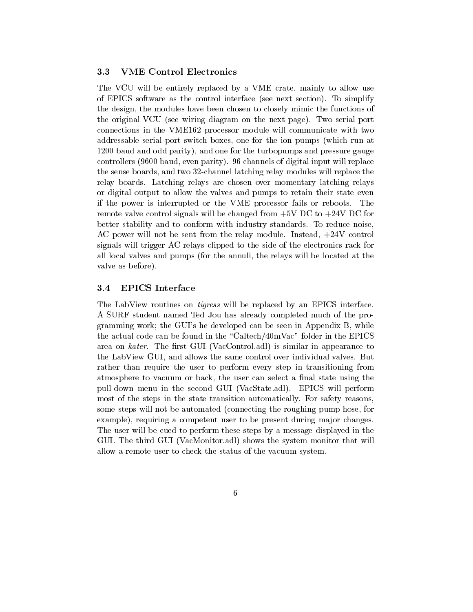#### $3.3$ 3.3 VME Control Electronics

The VCU will be entirely replaced by a VME crate, mainly to allow use of EPICS software as the control interface (see next section). To simplify the design, the modules have been chosen to closely mimic the functions of the original VCU (see wiring diagram on the next page). Two serial port connections in the VME162 processor module will communicate with two addressable serial port switch boxes, one for the ion pumps (which run at 1200 baud and odd parity), and one for the turbopumps and pressure gauge controllers (9600 baud, even parity). 96 channels of digital input will replace the sense boards, and two 32-channel latching relay modules will replace the relay boards. Latching relays are chosen over momentary latching relays or digital output to allow the valves and pumps to retain their state even if the power is interrupted or the VME processor fails or reboots. The remote valve control signals will be changed from  $+5V$  DC to  $+24V$  DC for better stability and to conform with industry standards. To reduce noise, AC power will not be sent from the relay module. Instead, +24V control signals will trigger AC relays clipped to the side of the electronics rack for all local valves and pumps (for the annuli, the relays will be located at the valve as before).

### 3.4 EPICS Interface

The LabView routines on tigress will be replaced by an EPICS interface. A SURF student named Ted Jou has already completed much of the programming work; the GUI's he developed can be seen in Appendix B, while the actual code can be found in the \Caltech/40mVac" folder in the EPICS area on  $kater$ . The first GUI (VacControl.adl) is similar in appearance to the LabView GUI, and allows the same control over individual valves. But rather than require the user to perform every step in transitioning from atmosphere to vacuum or back, the user can select a final state using the pull-down menu in the second GUI (VacState.adl). EPICS willperform most of the steps in the state transition automatically. For safety reasons, some steps will not be automated (connecting the roughing pump hose, for example), requiring a competent user to be present during major changes. The user will be cued to perform these steps by a message displayed in the GUI. The third GUI (VacMonitor.adl) shows the system monitor that will allow a remote user to check the status of the vacuum system.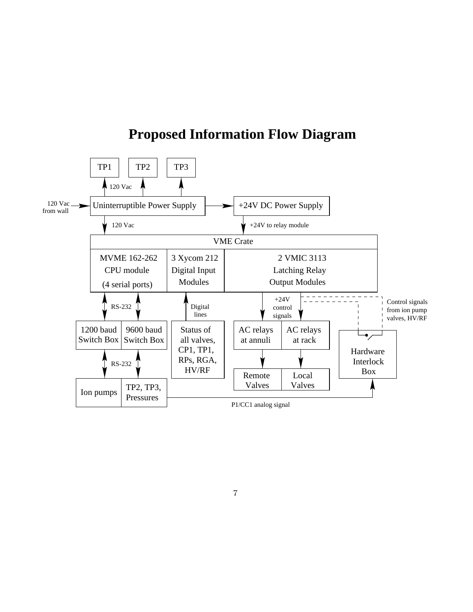

# **Proposed Information Flow Diagram**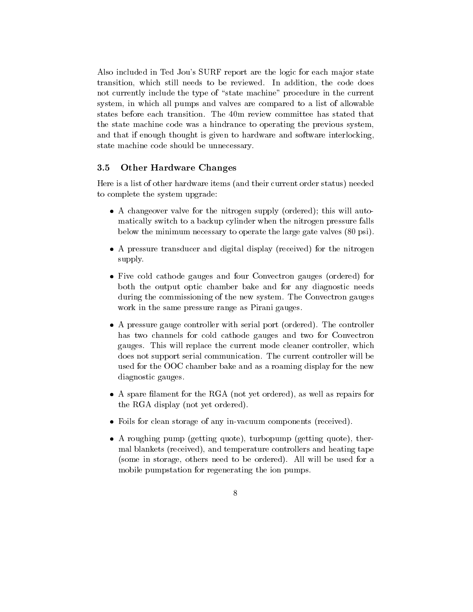Also included in Ted Jou's SURF report are the logic for each major state transition, which still needs to be reviewed. In addition, the code does not currently include the type of "state machine" procedure in the current system, in which all pumps and valves are compared to a list of allowable states before each transition. The 40m review committee has stated that the state machine code was a hindrance to operating the previous system, and that if enough thought is given to hardware and software interlocking, state machine code should be unnecessary.

#### $3.5$ **Other Hardware Changes**

Here is a list of other hardware items (and their current order status) needed to complete the system upgrade:

- A changeover valve for the nitrogen supply (ordered); this will automatically switch to a backup cylinder when the nitrogen pressure falls below the minimum necessary to operate the large gate valves (80 psi).
- A pressure transducer and digital display (received) for the nitrogen supply.
- Five cold cathode gauges and four Convection gauges  $\mathcal{C}$  for  $\mathcal{C}$  for  $\mathcal{C}$ both the output optic chamber bake and for any diagnostic needs during the commissioning of the new system. The Convectron gauges work in the same pressure range as Pirani gauges.
- A pressure gauge controller with serial port (ordered). The controller has two channels for cold cathode gauges and two for Convectron gauges. This will replace the current mode cleaner controller, which does not support serial communication. The current controller will be used for the OOC chamber bake and as a roaming display for the new diagnostic gauges.
- A spare lament for the RGA (not yet ordered), as well as repairs for the RGA display (not yet ordered).
- Foils for clean storage of any in-vacuum components (received).
- A roughing pump (getting quote), turbopump (getting quote), thermal blankets (received), and temperature controllers and heating tape (some in storage, others need to be ordered). All will be used for a mobile pumpstation for regenerating the ion pumps.
	- 8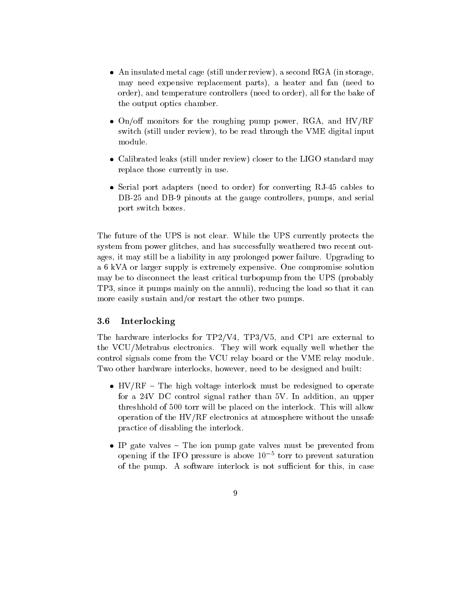- An insulated metal case (still under review), a second RGA (in step  $\mathbb{R}$ ), a second RGA (in storage, storage, second RGA (in storage, second RGA (in storage, second RGA), a second RGA (in storage, second RGA (in stora may need expensive replacement parts), a heater and fan (need to order), and temperature controllers (need to order), all for the bake of the output optics chamber.
- On/o monitors for the roughing pump power, RGA, and HV/RF switch (still under review), to be read through the VME digital input module.
- Calibrated leaks (still under review) closer to the LIGO standard may replace those currently in use.
- Serial port adapters (need to order) for converting RJ-45 cables to DB-25 and DB-9 pinouts at the gauge controllers, pumps, and serial port switch boxes.

The future of the UPS is not clear. While the UPS currently protects the system from power glitches, and has successfully weathered two recent outages, it may still be a liability in any prolonged power failure. Upgrading to a 6 kVA or larger supply is extremely expensive. One compromise solution may be to disconnect the least critical turbopump from the UPS (probably TP3, since it pumps mainly on the annuli), reducing the load so that it can more easily sustain and/or restart the other two pumps.

### 3.6 Interlocking

The hardware interlocks for TP2/V4, TP3/V5, and CP1 are external to the VCU/Metrabus electronics. They will work equally well whether the control signals come from the VCU relay board or the VME relay module. Two other hardware interlocks, however, need to be designed and built:

- HV/RF { The high voltage interlock must be redesigned to operate for a 24V DC control signal rather than 5V. In addition, an upper threshhold of 500 torr will be placed on the interlock. This will allow operation of the HV/RF electronics at atmosphere without the unsafe practice of disabling the interlock.
- IP gate values  ${\bf r}$  in pump gate values must be prevented from pump gate values  ${\bf r}$ opening if the IFO pressure is above 10  $\degree$  torr to prevent saturation of the pump. A software interlock is not sufficient for this, in case
	- 9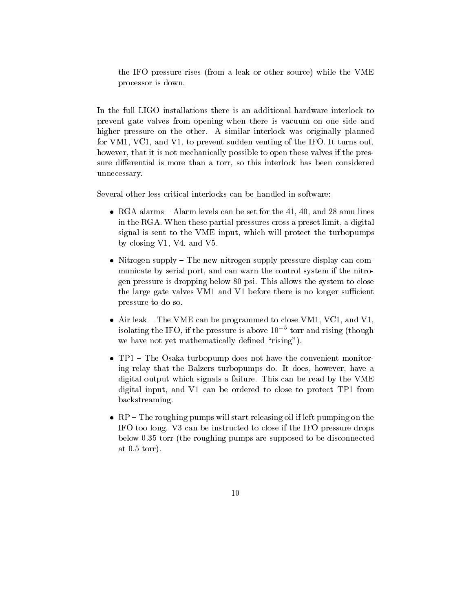the IFO pressure rises (from a leak or other source) while the VME processor is down.

In the full LIGO installations there is an additional hardware interlock to prevent gate valves from opening when there is vacuum on one side and higher pressure on the other. A similar interlock was originally planned for VM1, VC1, and V1, to prevent sudden venting of the IFO. It turns out, however, that it is not mechanically possible to open these valves if the pressure differential is more than a torr, so this interlock has been considered unnecessary.

Several other less critical interlocks can be handled in software:

- RGA alarm levels alarm levels can be set for the 41, 40, 40, and 28 amust the 41, 40, and 28 amust 28 amust 28 in the RGA. When these partial pressures cross a preset limit, a digital signal is sent to the VME input, which will protect the turbopumps by closing V1, V4, and V5.
- Nitrogen supply { The new nitrogen supply pressure display can communicate by serial port, and can warn the control system if the nitrogen pressure is dropping below 80 psi. This allows the system to close the large gate valves VM1 and V1 before there is no longer sufficient pressure to do so.
- Air leak { The VME can be programmed to close VM1, VC1, and V1, isolating the IFO, if the pressure is above 10  $\degree$  torr and rising (though we have not yet mathematically defined "rising").
- TP1 { The Osaka turbopump does not have the convenient monitoring relay that the Balzers turbopumps do. It does, however, have a digital output which signals a failure. This can be read by the VME digital input, and V1 can be ordered to close to protect TP1 from backstreaming.
- $R$  and releasing pumps will start releasing pumps will start releasing on the left pumping of  $\alpha$ IFO too long. V3 can be instructed to close if the IFO pressure drops below 0.35 torr (the roughing pumps are supposed to be disconnected at 0.5 torr).